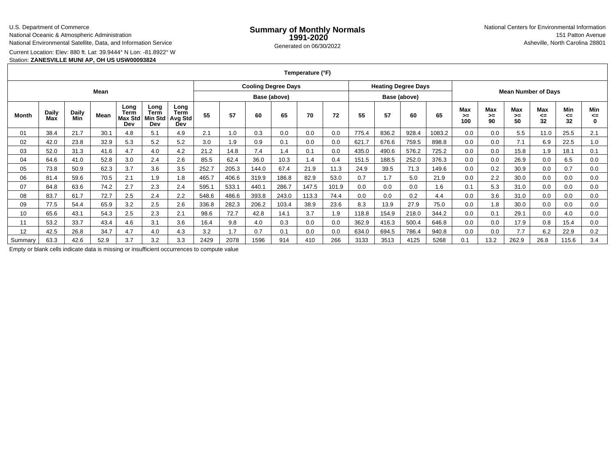U.S. Department of Commerce

National Oceanic & Atmospheric Administration

National Environmental Satellite, Data, and Information Service

Current Location: Elev: 880 ft. Lat: 39.9444° N Lon: -81.8922° W

## Station: **ZANESVILLE MUNI AP, OH US USW00093824**

## **Temperature (°F)**

| Mean    |              |              |      |                                |                                              | <b>Cooling Degree Days</b><br>Base (above) |       |       |       |       | <b>Heating Degree Days</b> |       |       | <b>Mean Number of Days</b> |       |        |                  |                 |                 |                        |                 |                       |
|---------|--------------|--------------|------|--------------------------------|----------------------------------------------|--------------------------------------------|-------|-------|-------|-------|----------------------------|-------|-------|----------------------------|-------|--------|------------------|-----------------|-----------------|------------------------|-----------------|-----------------------|
|         |              |              |      |                                |                                              |                                            |       |       |       |       | Base (above)               |       |       |                            |       |        |                  |                 |                 |                        |                 |                       |
| Month   | Daily<br>Max | Daily<br>Min | Mean | Long<br>Term<br>Max Std<br>Dev | Long<br><b>Term</b><br><b>Min Std</b><br>Dev | Long<br><b>Term</b><br>Avg Std<br>Dev      | 55    | 57    | 60    | 65    | 70                         | 72    | 55    | 57                         | 60    | 65     | Max<br>>≕<br>100 | Max<br>>=<br>90 | Max<br>>=<br>50 | <b>Max</b><br><=<br>32 | Min<br><=<br>32 | Min<br>⋖⋍<br>$\Omega$ |
| 01      | 38.4         | 21.7         | 30.1 | 4.8                            | 5.1                                          | 4.9                                        | 2.1   | 1.0   | 0.3   | 0.0   | 0.0                        | 0.0   | 775.4 | 836.2                      | 928.4 | 1083.2 | 0.0              | 0.0             | 5.5             | 11.0                   | 25.5            | 2.1                   |
| 02      | 42.0         | 23.8         | 32.9 | 5.3                            | 5.2                                          | 5.2                                        | 3.0   | 1.9   | 0.9   | 0.1   | 0.0                        | 0.0   | 621.7 | 676.6                      | 759.5 | 898.8  | 0.0              | 0.0             | 7.1             | 6.9                    | 22.5            | 1.0                   |
| 03      | 52.0         | 31.3         | 41.6 | 4.7                            | 4.0                                          | 4.2                                        | 21.2  | 14.8  | 7.4   | 1.4   | 0.1                        | 0.0   | 435.0 | 490.6                      | 576.2 | 725.2  | 0.0              | 0.0             | 15.8            | 1.9                    | 18.1            | 0.1                   |
| 04      | 64.6         | 41.0         | 52.8 | 3.0                            | 2.4                                          | 2.6                                        | 85.5  | 62.4  | 36.0  | 10.3  | 1.4                        | 0.4   | 151.5 | 188.5                      | 252.0 | 376.3  | 0.0              | 0.0             | 26.9            | 0.0                    | 6.5             | 0.0                   |
| 05      | 73.8         | 50.9         | 62.3 | 3.7                            | 3.6                                          | 3.5                                        | 252.7 | 205.3 | 144.0 | 67.4  | 21.9                       | 11.3  | 24.9  | 39.5                       | 71.3  | 149.6  | 0.0              | 0.2             | 30.9            | 0.0                    | 0.7             | 0.0                   |
| 06      | 81.4         | 59.6         | 70.5 | 2.1                            | 1.9                                          | 1.8                                        | 465.7 | 406.6 | 319.9 | 186.8 | 82.9                       | 53.0  | 0.7   | 1.7                        | 5.0   | 21.9   | 0.0              | 2.2             | 30.0            | 0.0                    | 0.0             | 0.0                   |
| 07      | 84.8         | 63.6         | 74.2 | 2.7                            | 2.3                                          | 2.4                                        | 595.1 | 533.1 | 440.1 | 286.7 | 147.5                      | 101.9 | 0.0   | 0.0                        | 0.0   | 1.6    | 0.1              | 5.3             | 31.0            | 0.0                    | 0.0             | 0.0                   |
| 08      | 83.7         | 61.7         | 72.7 | 2.5                            | 2.4                                          | 2.2                                        | 548.6 | 486.6 | 393.8 | 243.0 | 113.3                      | 74.4  | 0.0   | 0.0                        | 0.2   | 4.4    | 0.0              | 3.6             | 31.0            | 0.0                    | 0.0             | 0.0                   |
| 09      | 77.5         | 54.4         | 65.9 | 3.2                            | 2.5                                          | 2.6                                        | 336.8 | 282.3 | 206.2 | 103.4 | 38.9                       | 23.6  | 8.3   | 13.9                       | 27.9  | 75.0   | 0.0              | 1.8             | 30.0            | 0.0                    | 0.0             | 0.0                   |
| 10      | 65.6         | 43.1         | 54.3 | 2.5                            | 2.3                                          | 2.1                                        | 98.6  | 72.7  | 42.8  | 14.1  | 3.7                        | 1.9   | 118.8 | 154.9                      | 218.0 | 344.2  | 0.0              | 0.1             | 29.1            | 0.0                    | 4.0             | 0.0                   |
| 11      | 53.2         | 33.7         | 43.4 | 4.6                            | 3.1                                          | 3.6                                        | 16.4  | 9.8   | 4.0   | 0.3   | 0.0                        | 0.0   | 362.9 | 416.3                      | 500.4 | 646.8  | 0.0              | 0.0             | 17.9            | 0.8                    | 15.4            | 0.0                   |
| 12      | 42.5         | 26.8         | 34.7 | 4.7                            | 4.0                                          | 4.3                                        | 3.2   | 1.7   | 0.7   | 0.1   | 0.0                        | 0.0   | 634.0 | 694.5                      | 786.4 | 940.8  | 0.0              | 0.0             | 7.7             | 6.2                    | 22.9            | 0.2                   |
| Summary | 63.3         | 42.6         | 52.9 | 3.7                            | 3.2                                          | 3.3                                        | 2429  | 2078  | 1596  | 914   | 410                        | 266   | 3133  | 3513                       | 4125  | 5268   | 0.1              | 13.2            | 262.9           | 26.8                   | 115.6           | 3.4                   |

Empty or blank cells indicate data is missing or insufficient occurrences to compute value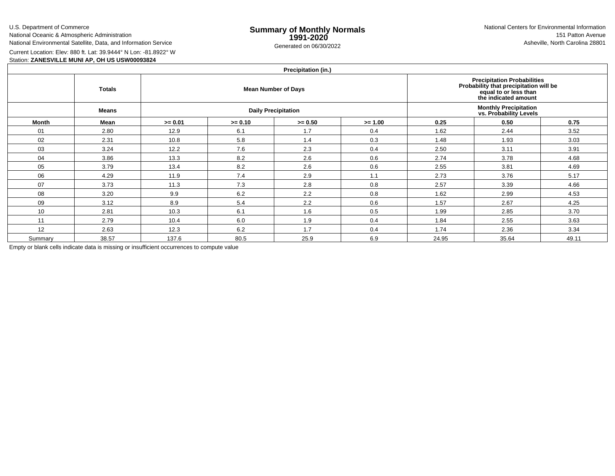U.S. Department of Commerce

National Oceanic & Atmospheric AdministrationNational Environmental Satellite, Data, and Information Service

e **Summary of Monthly Normals**<br> **1991-2020** 151 Patton Avenue **1991-2020** 1997-2020 e Generated on 06/30/2022 Asheville, North Carolina 28801 National Centers for Environmental Information151 Patton Avenue

Current Location: Elev: 880 ft. Lat: 39.9444° N Lon: -81.8922° W

Station: **ZANESVILLE MUNI AP, OH US USW00093824**

## **Precipitation (in.)**

| <b>FIGUIPILATION</b> (III.) |               |           |           |                            |                                                                                                                               |       |       |       |  |  |  |  |
|-----------------------------|---------------|-----------|-----------|----------------------------|-------------------------------------------------------------------------------------------------------------------------------|-------|-------|-------|--|--|--|--|
|                             | <b>Totals</b> |           |           | <b>Mean Number of Days</b> | <b>Precipitation Probabilities</b><br>Probability that precipitation will be<br>equal to or less than<br>the indicated amount |       |       |       |  |  |  |  |
|                             | Means         |           |           | <b>Daily Precipitation</b> | <b>Monthly Precipitation</b><br>vs. Probability Levels                                                                        |       |       |       |  |  |  |  |
| Month                       | Mean          | $>= 0.01$ | $>= 0.10$ | $>= 0.50$                  | $>= 1.00$                                                                                                                     | 0.25  | 0.50  | 0.75  |  |  |  |  |
| 01                          | 2.80          | 12.9      | 6.1       | 1.7                        | 0.4                                                                                                                           | 1.62  | 2.44  | 3.52  |  |  |  |  |
| 02                          | 2.31          | 10.8      | 5.8       | 1.4                        | 0.3                                                                                                                           | 1.48  | 1.93  | 3.03  |  |  |  |  |
| 03                          | 3.24          | 12.2      | 7.6       | 2.3                        | 0.4                                                                                                                           | 2.50  | 3.11  | 3.91  |  |  |  |  |
| 04                          | 3.86          | 13.3      | 8.2       | 2.6                        | 0.6                                                                                                                           | 2.74  | 3.78  | 4.68  |  |  |  |  |
| 05                          | 3.79          | 13.4      | 8.2       | 2.6                        | 0.6                                                                                                                           | 2.55  | 3.81  | 4.69  |  |  |  |  |
| 06                          | 4.29          | 11.9      | 7.4       | 2.9                        | 1.1                                                                                                                           | 2.73  | 3.76  | 5.17  |  |  |  |  |
| 07                          | 3.73          | 11.3      | 7.3       | 2.8                        | 0.8                                                                                                                           | 2.57  | 3.39  | 4.66  |  |  |  |  |
| 08                          | 3.20          | 9.9       | 6.2       | 2.2                        | 0.8                                                                                                                           | 1.62  | 2.99  | 4.53  |  |  |  |  |
| 09                          | 3.12          | 8.9       | 5.4       | 2.2                        | 0.6                                                                                                                           | 1.57  | 2.67  | 4.25  |  |  |  |  |
| 10                          | 2.81          | 10.3      | 6.1       | 1.6                        | 0.5                                                                                                                           | 1.99  | 2.85  | 3.70  |  |  |  |  |
| 11                          | 2.79          | 10.4      | 6.0       | 1.9                        | 0.4                                                                                                                           | 1.84  | 2.55  | 3.63  |  |  |  |  |
| 12                          | 2.63          | 12.3      | 6.2       | 1.7                        | 0.4                                                                                                                           | 1.74  | 2.36  | 3.34  |  |  |  |  |
| Summary                     | 38.57         | 137.6     | 80.5      | 25.9                       | 6.9                                                                                                                           | 24.95 | 35.64 | 49.11 |  |  |  |  |

Empty or blank cells indicate data is missing or insufficient occurrences to compute value